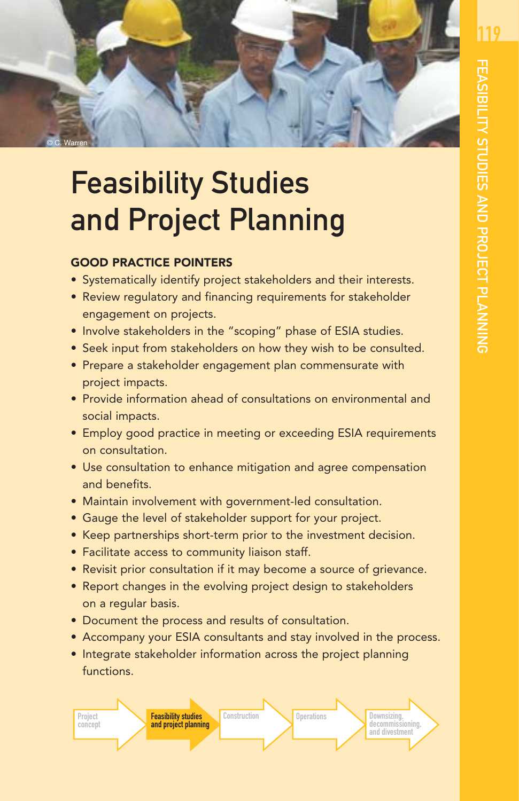

# Feasibility Studies and Project Planning

# GOOD PRACTICE POINTERS

- Systematically identify project stakeholders and their interests.
- Review regulatory and financing requirements for stakeholder engagement on projects.
- Involve stakeholders in the "scoping" phase of ESIA studies.
- Seek input from stakeholders on how they wish to be consulted.
- Prepare a stakeholder engagement plan commensurate with project impacts.
- Provide information ahead of consultations on environmental and social impacts.
- Employ good practice in meeting or exceeding ESIA requirements on consultation.
- Use consultation to enhance mitigation and agree compensation and benefits.
- Maintain involvement with government-led consultation.
- Gauge the level of stakeholder support for your project.
- Keep partnerships short-term prior to the investment decision.
- Facilitate access to community liaison staff.
- Revisit prior consultation if it may become a source of grievance.
- Report changes in the evolving project design to stakeholders on a regular basis.
- Document the process and results of consultation.
- Accompany your ESIA consultants and stay involved in the process.
- Integrate stakeholder information across the project planning functions.

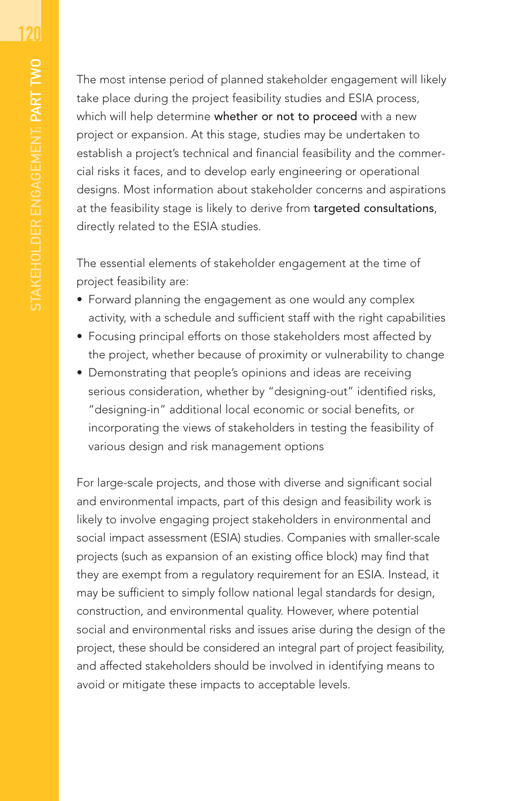The most intense period of planned stakeholder engagement will likely take place during the project feasibility studies and ESIA process, which will help determine whether or not to proceed with a new project or expansion. At this stage, studies may be undertaken to establish a project's technical and financial feasibility and the commercial risks it faces, and to develop early engineering or operational designs. Most information about stakeholder concerns and aspirations at the feasibility stage is likely to derive from targeted consultations, directly related to the ESIA studies.

The essential elements of stakeholder engagement at the time of project feasibility are:

- Forward planning the engagement as one would any complex activity, with a schedule and sufficient staff with the right capabilities
- Focusing principal efforts on those stakeholders most affected by the project, whether because of proximity or vulnerability to change
- Demonstrating that people's opinions and ideas are receiving serious consideration, whether by "designing-out" identified risks, "designing-in" additional local economic or social benefits, or incorporating the views of stakeholders in testing the feasibility of various design and risk management options

For large-scale projects, and those with diverse and significant social and environmental impacts, part of this design and feasibility work is likely to involve engaging project stakeholders in environmental and social impact assessment (ESIA) studies. Companies with smaller-scale projects (such as expansion of an existing office block) may find that they are exempt from a regulatory requirement for an ESIA. Instead, it may be sufficient to simply follow national legal standards for design, construction, and environmental quality. However, where potential social and environmental risks and issues arise during the design of the project, these should be considered an integral part of project feasibility, and affected stakeholders should be involved in identifying means to avoid or mitigate these impacts to acceptable levels.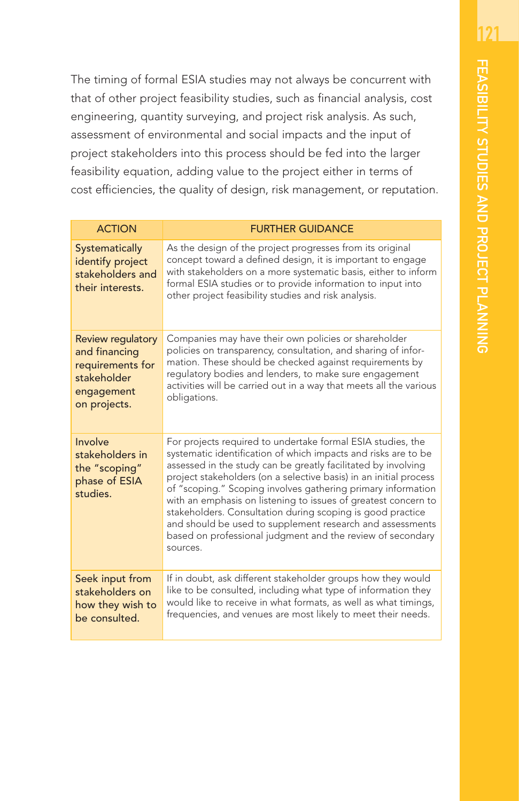The timing of formal ESIA studies may not always be concurrent with that of other project feasibility studies, such as financial analysis, cost engineering, quantity surveying, and project risk analysis. As such, assessment of environmental and social impacts and the input of project stakeholders into this process should be fed into the larger feasibility equation, adding value to the project either in terms of cost efficiencies, the quality of design, risk management, or reputation.

| <b>ACTION</b>                                                                                              | <b>FURTHER GUIDANCE</b>                                                                                                                                                                                                                                                                                                                                                                                                                                                                                                                                                                                    |
|------------------------------------------------------------------------------------------------------------|------------------------------------------------------------------------------------------------------------------------------------------------------------------------------------------------------------------------------------------------------------------------------------------------------------------------------------------------------------------------------------------------------------------------------------------------------------------------------------------------------------------------------------------------------------------------------------------------------------|
| Systematically<br>identify project<br>stakeholders and<br>their interests.                                 | As the design of the project progresses from its original<br>concept toward a defined design, it is important to engage<br>with stakeholders on a more systematic basis, either to inform<br>formal ESIA studies or to provide information to input into<br>other project feasibility studies and risk analysis.                                                                                                                                                                                                                                                                                           |
| <b>Review regulatory</b><br>and financing<br>requirements for<br>stakeholder<br>engagement<br>on projects. | Companies may have their own policies or shareholder<br>policies on transparency, consultation, and sharing of infor-<br>mation. These should be checked against requirements by<br>regulatory bodies and lenders, to make sure engagement<br>activities will be carried out in a way that meets all the various<br>obligations.                                                                                                                                                                                                                                                                           |
| Involve<br>stakeholders in<br>the "scoping"<br>phase of ESIA<br>studies.                                   | For projects required to undertake formal ESIA studies, the<br>systematic identification of which impacts and risks are to be<br>assessed in the study can be greatly facilitated by involving<br>project stakeholders (on a selective basis) in an initial process<br>of "scoping." Scoping involves gathering primary information<br>with an emphasis on listening to issues of greatest concern to<br>stakeholders. Consultation during scoping is good practice<br>and should be used to supplement research and assessments<br>based on professional judgment and the review of secondary<br>sources. |
| Seek input from<br>stakeholders on<br>how they wish to<br>be consulted.                                    | If in doubt, ask different stakeholder groups how they would<br>like to be consulted, including what type of information they<br>would like to receive in what formats, as well as what timings,<br>frequencies, and venues are most likely to meet their needs.                                                                                                                                                                                                                                                                                                                                           |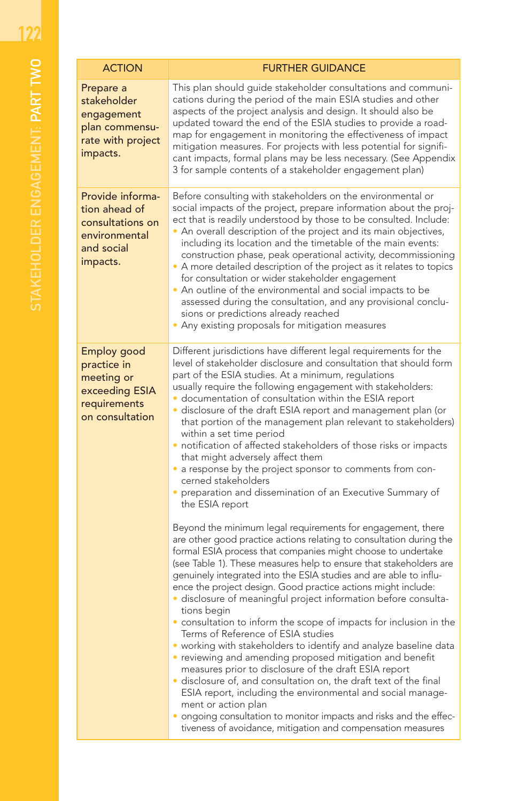| <b>ACTION</b>                                                                                    | <b>FURTHER GUIDANCE</b>                                                                                                                                                                                                                                                                                                                                                                                                                                                                                                                                                                                                                                                                                                                                                                                                                                                                                                                                                                                                                                                                                                                                                                                                                                                                                                                                                                                                                                                                                           |
|--------------------------------------------------------------------------------------------------|-------------------------------------------------------------------------------------------------------------------------------------------------------------------------------------------------------------------------------------------------------------------------------------------------------------------------------------------------------------------------------------------------------------------------------------------------------------------------------------------------------------------------------------------------------------------------------------------------------------------------------------------------------------------------------------------------------------------------------------------------------------------------------------------------------------------------------------------------------------------------------------------------------------------------------------------------------------------------------------------------------------------------------------------------------------------------------------------------------------------------------------------------------------------------------------------------------------------------------------------------------------------------------------------------------------------------------------------------------------------------------------------------------------------------------------------------------------------------------------------------------------------|
| Prepare a<br>stakeholder<br>engagement<br>plan commensu-<br>rate with project<br>impacts.        | This plan should guide stakeholder consultations and communi-<br>cations during the period of the main ESIA studies and other<br>aspects of the project analysis and design. It should also be<br>updated toward the end of the ESIA studies to provide a road-<br>map for engagement in monitoring the effectiveness of impact<br>mitigation measures. For projects with less potential for signifi-<br>cant impacts, formal plans may be less necessary. (See Appendix<br>3 for sample contents of a stakeholder engagement plan)                                                                                                                                                                                                                                                                                                                                                                                                                                                                                                                                                                                                                                                                                                                                                                                                                                                                                                                                                                               |
| Provide informa-<br>tion ahead of<br>consultations on<br>environmental<br>and social<br>impacts. | Before consulting with stakeholders on the environmental or<br>social impacts of the project, prepare information about the proj-<br>ect that is readily understood by those to be consulted. Include:<br>• An overall description of the project and its main objectives,<br>including its location and the timetable of the main events:<br>construction phase, peak operational activity, decommissioning<br>• A more detailed description of the project as it relates to topics<br>for consultation or wider stakeholder engagement<br>• An outline of the environmental and social impacts to be<br>assessed during the consultation, and any provisional conclu-<br>sions or predictions already reached<br>• Any existing proposals for mitigation measures                                                                                                                                                                                                                                                                                                                                                                                                                                                                                                                                                                                                                                                                                                                                               |
| Employ good<br>practice in<br>meeting or<br>exceeding ESIA<br>requirements<br>on consultation    | Different jurisdictions have different legal requirements for the<br>level of stakeholder disclosure and consultation that should form<br>part of the ESIA studies. At a minimum, regulations<br>usually require the following engagement with stakeholders:<br>· documentation of consultation within the ESIA report<br>· disclosure of the draft ESIA report and management plan (or<br>that portion of the management plan relevant to stakeholders)<br>within a set time period<br>· notification of affected stakeholders of those risks or impacts<br>that might adversely affect them<br>• a response by the project sponsor to comments from con-<br>cerned stakeholders<br>preparation and dissemination of an Executive Summary of<br>the ESIA report<br>Beyond the minimum legal requirements for engagement, there<br>are other good practice actions relating to consultation during the<br>formal ESIA process that companies might choose to undertake<br>(see Table 1). These measures help to ensure that stakeholders are<br>genuinely integrated into the ESIA studies and are able to influ-<br>ence the project design. Good practice actions might include:<br>· disclosure of meaningful project information before consulta-<br>tions begin<br>• consultation to inform the scope of impacts for inclusion in the<br>Terms of Reference of ESIA studies<br>· working with stakeholders to identify and analyze baseline data<br>• reviewing and amending proposed mitigation and benefit |
|                                                                                                  | measures prior to disclosure of the draft ESIA report<br>· disclosure of, and consultation on, the draft text of the final<br>ESIA report, including the environmental and social manage-<br>ment or action plan<br>• ongoing consultation to monitor impacts and risks and the effec-<br>tiveness of avoidance, mitigation and compensation measures                                                                                                                                                                                                                                                                                                                                                                                                                                                                                                                                                                                                                                                                                                                                                                                                                                                                                                                                                                                                                                                                                                                                                             |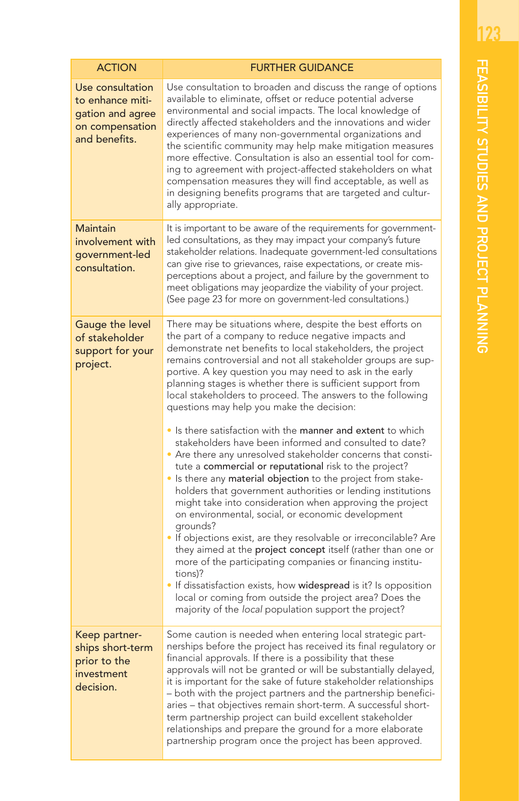| ÷ |   | 23 |
|---|---|----|
|   |   |    |
|   | 1 |    |
|   |   |    |
|   |   |    |
|   |   |    |
| l |   |    |
|   |   |    |
|   |   |    |
|   |   |    |
|   |   |    |
|   |   |    |
|   |   |    |
|   |   |    |
|   |   |    |
|   |   |    |
|   |   |    |
|   |   |    |
|   |   |    |
|   |   |    |

| <b>ACTION</b>                                                                                | <b>FURTHER GUIDANCE</b>                                                                                                                                                                                                                                                                                                                                                                                                                                                                                                                                                                                                                                                                                                                                                                                                                                                                                                                                                                                                                                                                                                                                                                                                                                                                                                                                                                                       |  |
|----------------------------------------------------------------------------------------------|---------------------------------------------------------------------------------------------------------------------------------------------------------------------------------------------------------------------------------------------------------------------------------------------------------------------------------------------------------------------------------------------------------------------------------------------------------------------------------------------------------------------------------------------------------------------------------------------------------------------------------------------------------------------------------------------------------------------------------------------------------------------------------------------------------------------------------------------------------------------------------------------------------------------------------------------------------------------------------------------------------------------------------------------------------------------------------------------------------------------------------------------------------------------------------------------------------------------------------------------------------------------------------------------------------------------------------------------------------------------------------------------------------------|--|
| Use consultation<br>to enhance miti-<br>gation and agree<br>on compensation<br>and benefits. | Use consultation to broaden and discuss the range of options<br>available to eliminate, offset or reduce potential adverse<br>environmental and social impacts. The local knowledge of<br>directly affected stakeholders and the innovations and wider<br>experiences of many non-governmental organizations and<br>the scientific community may help make mitigation measures<br>more effective. Consultation is also an essential tool for com-<br>ing to agreement with project-affected stakeholders on what<br>compensation measures they will find acceptable, as well as<br>in designing benefits programs that are targeted and cultur-<br>ally appropriate.                                                                                                                                                                                                                                                                                                                                                                                                                                                                                                                                                                                                                                                                                                                                          |  |
| <b>Maintain</b><br>involvement with<br>government-led<br>consultation.                       | It is important to be aware of the requirements for government-<br>led consultations, as they may impact your company's future<br>stakeholder relations. Inadequate government-led consultations<br>can give rise to grievances, raise expectations, or create mis-<br>perceptions about a project, and failure by the government to<br>meet obligations may jeopardize the viability of your project.<br>(See page 23 for more on government-led consultations.)                                                                                                                                                                                                                                                                                                                                                                                                                                                                                                                                                                                                                                                                                                                                                                                                                                                                                                                                             |  |
| Gauge the level<br>of stakeholder<br>support for your<br>project.                            | There may be situations where, despite the best efforts on<br>the part of a company to reduce negative impacts and<br>demonstrate net benefits to local stakeholders, the project<br>remains controversial and not all stakeholder groups are sup-<br>portive. A key question you may need to ask in the early<br>planning stages is whether there is sufficient support from<br>local stakeholders to proceed. The answers to the following<br>questions may help you make the decision:<br>• Is there satisfaction with the manner and extent to which<br>stakeholders have been informed and consulted to date?<br>• Are there any unresolved stakeholder concerns that consti-<br>tute a commercial or reputational risk to the project?<br>· Is there any material objection to the project from stake-<br>holders that government authorities or lending institutions<br>might take into consideration when approving the project<br>on environmental, social, or economic development<br>grounds?<br>· If objections exist, are they resolvable or irreconcilable? Are<br>they aimed at the project concept itself (rather than one or<br>more of the participating companies or financing institu-<br>tions)?<br>• If dissatisfaction exists, how widespread is it? Is opposition<br>local or coming from outside the project area? Does the<br>majority of the local population support the project? |  |
| Keep partner-<br>ships short-term<br>prior to the<br>investment<br>decision.                 | Some caution is needed when entering local strategic part-<br>nerships before the project has received its final regulatory or<br>financial approvals. If there is a possibility that these<br>approvals will not be granted or will be substantially delayed,<br>it is important for the sake of future stakeholder relationships<br>- both with the project partners and the partnership benefici-<br>aries - that objectives remain short-term. A successful short-<br>term partnership project can build excellent stakeholder<br>relationships and prepare the ground for a more elaborate<br>partnership program once the project has been approved.                                                                                                                                                                                                                                                                                                                                                                                                                                                                                                                                                                                                                                                                                                                                                    |  |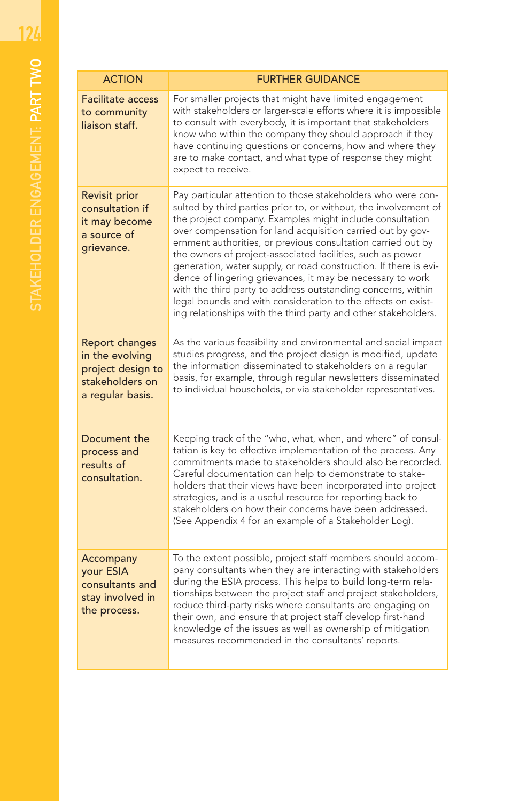| <b>ACTION</b>                                                                                 | <b>FURTHER GUIDANCE</b>                                                                                                                                                                                                                                                                                                                                                                                                                                                                                                                                                                                                                                                                                                      |
|-----------------------------------------------------------------------------------------------|------------------------------------------------------------------------------------------------------------------------------------------------------------------------------------------------------------------------------------------------------------------------------------------------------------------------------------------------------------------------------------------------------------------------------------------------------------------------------------------------------------------------------------------------------------------------------------------------------------------------------------------------------------------------------------------------------------------------------|
| <b>Facilitate access</b><br>to community<br>liaison staff.                                    | For smaller projects that might have limited engagement<br>with stakeholders or larger-scale efforts where it is impossible<br>to consult with everybody, it is important that stakeholders<br>know who within the company they should approach if they<br>have continuing questions or concerns, how and where they<br>are to make contact, and what type of response they might<br>expect to receive.                                                                                                                                                                                                                                                                                                                      |
| <b>Revisit prior</b><br>consultation if<br>it may become<br>a source of<br>grievance.         | Pay particular attention to those stakeholders who were con-<br>sulted by third parties prior to, or without, the involvement of<br>the project company. Examples might include consultation<br>over compensation for land acquisition carried out by gov-<br>ernment authorities, or previous consultation carried out by<br>the owners of project-associated facilities, such as power<br>generation, water supply, or road construction. If there is evi-<br>dence of lingering grievances, it may be necessary to work<br>with the third party to address outstanding concerns, within<br>legal bounds and with consideration to the effects on exist-<br>ing relationships with the third party and other stakeholders. |
| Report changes<br>in the evolving<br>project design to<br>stakeholders on<br>a regular basis. | As the various feasibility and environmental and social impact<br>studies progress, and the project design is modified, update<br>the information disseminated to stakeholders on a regular<br>basis, for example, through regular newsletters disseminated<br>to individual households, or via stakeholder representatives.                                                                                                                                                                                                                                                                                                                                                                                                 |
| Document the<br>process and<br>results of<br>consultation.                                    | Keeping track of the "who, what, when, and where" of consul-<br>tation is key to effective implementation of the process. Any<br>commitments made to stakeholders should also be recorded.<br>Careful documentation can help to demonstrate to stake-<br>holders that their views have been incorporated into project<br>strategies, and is a useful resource for reporting back to<br>stakeholders on how their concerns have been addressed.<br>(See Appendix 4 for an example of a Stakeholder Log).                                                                                                                                                                                                                      |
| Accompany<br>your ESIA<br>consultants and<br>stay involved in<br>the process.                 | To the extent possible, project staff members should accom-<br>pany consultants when they are interacting with stakeholders<br>during the ESIA process. This helps to build long-term rela-<br>tionships between the project staff and project stakeholders,<br>reduce third-party risks where consultants are engaging on<br>their own, and ensure that project staff develop first-hand<br>knowledge of the issues as well as ownership of mitigation<br>measures recommended in the consultants' reports.                                                                                                                                                                                                                 |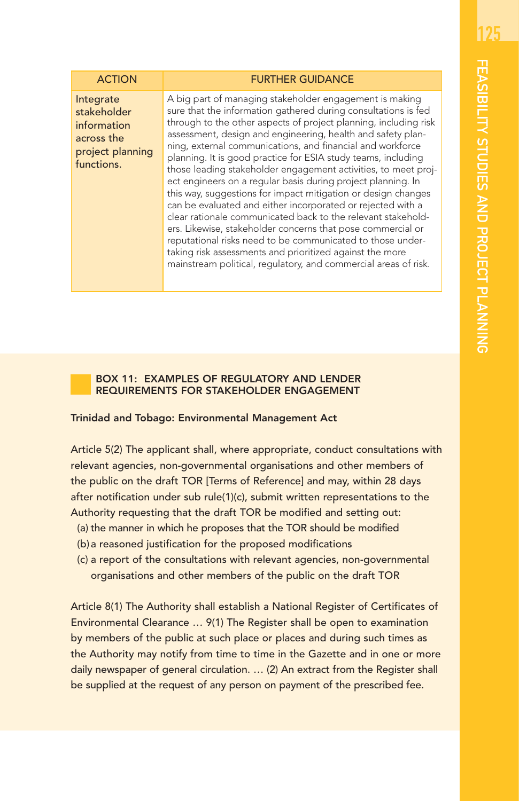Integrate stakeholder information across the project planning functions.

#### ACTION **FURTHER GUIDANCE**

A big part of managing stakeholder engagement is making sure that the information gathered during consultations is fed through to the other aspects of project planning, including risk assessment, design and engineering, health and safety planning, external communications, and financial and workforce planning. It is good practice for ESIA study teams, including those leading stakeholder engagement activities, to meet project engineers on a regular basis during project planning. In this way, suggestions for impact mitigation or design changes can be evaluated and either incorporated or rejected with a clear rationale communicated back to the relevant stakeholders. Likewise, stakeholder concerns that pose commercial or reputational risks need to be communicated to those undertaking risk assessments and prioritized against the more mainstream political, regulatory, and commercial areas of risk.

#### BOX 11: EXAMPLES OF REGULATORY AND LENDER REQUIREMENTS FOR STAKEHOLDER ENGAGEMENT

#### Trinidad and Tobago: Environmental Management Act

Article 5(2) The applicant shall, where appropriate, conduct consultations with relevant agencies, non-governmental organisations and other members of the public on the draft TOR [Terms of Reference] and may, within 28 days after notification under sub rule(1)(c), submit written representations to the Authority requesting that the draft TOR be modified and setting out:

- (a) the manner in which he proposes that the TOR should be modified
- (b)a reasoned justification for the proposed modifications
- (c) a report of the consultations with relevant agencies, non-governmental organisations and other members of the public on the draft TOR

Article 8(1) The Authority shall establish a National Register of Certificates of Environmental Clearance … 9(1) The Register shall be open to examination by members of the public at such place or places and during such times as the Authority may notify from time to time in the Gazette and in one or more daily newspaper of general circulation. … (2) An extract from the Register shall be supplied at the request of any person on payment of the prescribed fee.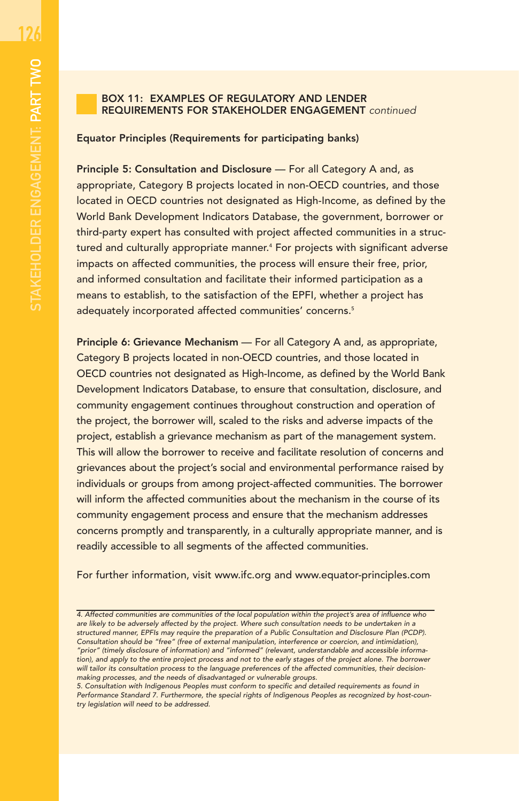#### BOX 11: EXAMPLES OF REGULATORY AND LENDER REQUIREMENTS FOR STAKEHOLDER ENGAGEMENT continued

#### Equator Principles (Requirements for participating banks)

Principle 5: Consultation and Disclosure — For all Category A and, as appropriate, Category B projects located in non-OECD countries, and those located in OECD countries not designated as High-Income, as defined by the World Bank Development Indicators Database, the government, borrower or third-party expert has consulted with project affected communities in a structured and culturally appropriate manner.<sup>4</sup> For projects with significant adverse impacts on affected communities, the process will ensure their free, prior, and informed consultation and facilitate their informed participation as a means to establish, to the satisfaction of the EPFI, whether a project has adequately incorporated affected communities' concerns.<sup>5</sup>

Principle 6: Grievance Mechanism — For all Category A and, as appropriate, Category B projects located in non-OECD countries, and those located in OECD countries not designated as High-Income, as defined by the World Bank Development Indicators Database, to ensure that consultation, disclosure, and community engagement continues throughout construction and operation of the project, the borrower will, scaled to the risks and adverse impacts of the project, establish a grievance mechanism as part of the management system. This will allow the borrower to receive and facilitate resolution of concerns and grievances about the project's social and environmental performance raised by individuals or groups from among project-affected communities. The borrower will inform the affected communities about the mechanism in the course of its community engagement process and ensure that the mechanism addresses concerns promptly and transparently, in a culturally appropriate manner, and is readily accessible to all segments of the affected communities.

For further information, visit www.ifc.org and www.equator-principles.com

<sup>4.</sup> Affected communities are communities of the local population within the project's area of influence who are likely to be adversely affected by the project. Where such consultation needs to be undertaken in a structured manner, EPFIs may require the preparation of a Public Consultation and Disclosure Plan (PCDP). Consultation should be "free" (free of external manipulation, interference or coercion, and intimidation), "prior" (timely disclosure of information) and "informed" (relevant, understandable and accessible information), and apply to the entire project process and not to the early stages of the project alone. The borrower will tailor its consultation process to the language preferences of the affected communities, their decisionmaking processes, and the needs of disadvantaged or vulnerable groups.

<sup>5.</sup> Consultation with Indigenous Peoples must conform to specific and detailed requirements as found in Performance Standard 7. Furthermore, the special rights of Indigenous Peoples as recognized by host-country legislation will need to be addressed.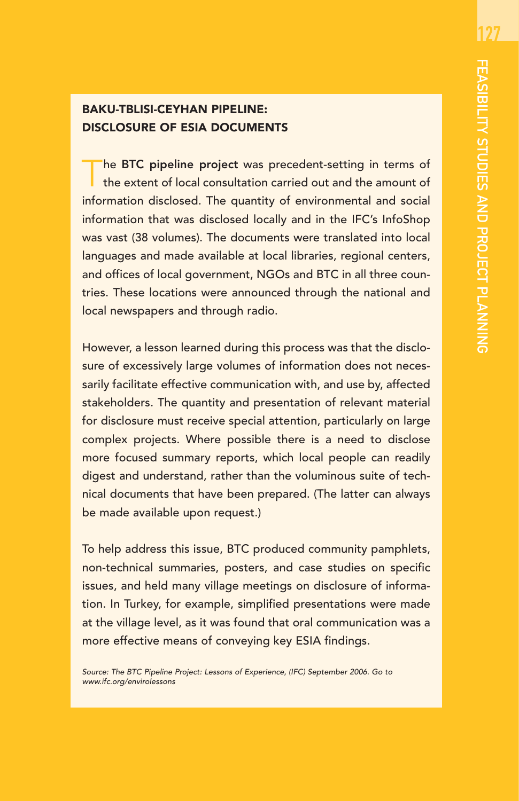# BAKU-TBLISI-CEYHAN PIPELINE: DISCLOSURE OF ESIA DOCUMENTS

he BTC pipeline project was precedent-setting in terms of the extent of local consultation carried out and the amount of information disclosed. The quantity of environmental and social information that was disclosed locally and in the IFC's InfoShop was vast (38 volumes). The documents were translated into local languages and made available at local libraries, regional centers, and offices of local government, NGOs and BTC in all three countries. These locations were announced through the national and local newspapers and through radio.

However, a lesson learned during this process was that the disclosure of excessively large volumes of information does not necessarily facilitate effective communication with, and use by, affected stakeholders. The quantity and presentation of relevant material for disclosure must receive special attention, particularly on large complex projects. Where possible there is a need to disclose more focused summary reports, which local people can readily digest and understand, rather than the voluminous suite of technical documents that have been prepared. (The latter can always be made available upon request.)

To help address this issue, BTC produced community pamphlets, non-technical summaries, posters, and case studies on specific issues, and held many village meetings on disclosure of information. In Turkey, for example, simplified presentations were made at the village level, as it was found that oral communication was a more effective means of conveying key ESIA findings.

Source: The BTC Pipeline Project: Lessons of Experience, (IFC) September 2006. Go to www.ifc.org/envirolessons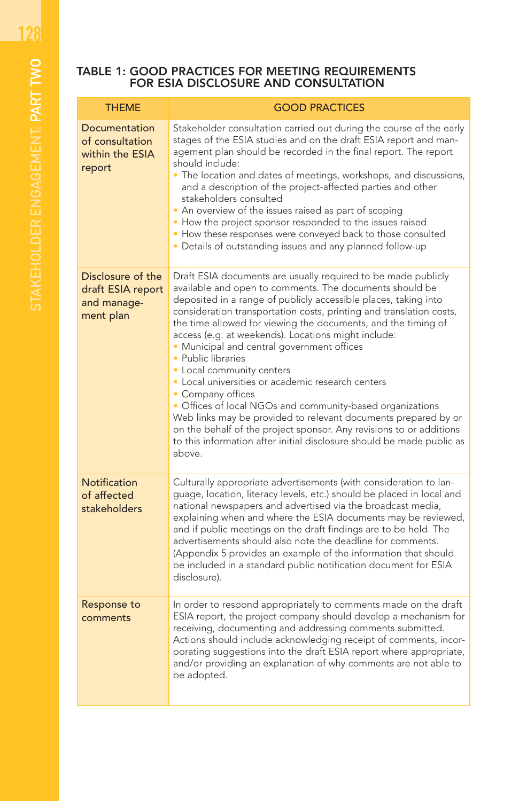#### TABLE 1: GOOD PRACTICES FOR MEETING REQUIREMENTS FOR ESIA DISCLOSURE AND CONSULTATION

| <b>THEME</b>                                                       | <b>GOOD PRACTICES</b>                                                                                                                                                                                                                                                                                                                                                                                                                                                                                                                                                                                                                                                                                                                                                                                                                                          |
|--------------------------------------------------------------------|----------------------------------------------------------------------------------------------------------------------------------------------------------------------------------------------------------------------------------------------------------------------------------------------------------------------------------------------------------------------------------------------------------------------------------------------------------------------------------------------------------------------------------------------------------------------------------------------------------------------------------------------------------------------------------------------------------------------------------------------------------------------------------------------------------------------------------------------------------------|
| Documentation<br>of consultation<br>within the ESIA<br>report      | Stakeholder consultation carried out during the course of the early<br>stages of the ESIA studies and on the draft ESIA report and man-<br>agement plan should be recorded in the final report. The report<br>should include:<br>• The location and dates of meetings, workshops, and discussions,<br>and a description of the project-affected parties and other<br>stakeholders consulted<br>• An overview of the issues raised as part of scoping<br>. How the project sponsor responded to the issues raised<br>. How these responses were conveyed back to those consulted<br>• Details of outstanding issues and any planned follow-up                                                                                                                                                                                                                   |
| Disclosure of the<br>draft ESIA report<br>and manage-<br>ment plan | Draft ESIA documents are usually required to be made publicly<br>available and open to comments. The documents should be<br>deposited in a range of publicly accessible places, taking into<br>consideration transportation costs, printing and translation costs,<br>the time allowed for viewing the documents, and the timing of<br>access (e.g. at weekends). Locations might include:<br>· Municipal and central government offices<br>• Public libraries<br>• Local community centers<br>• Local universities or academic research centers<br>• Company offices<br>• Offices of local NGOs and community-based organizations<br>Web links may be provided to relevant documents prepared by or<br>on the behalf of the project sponsor. Any revisions to or additions<br>to this information after initial disclosure should be made public as<br>above. |
| <b>Notification</b><br>of affected<br>stakeholders                 | Culturally appropriate advertisements (with consideration to lan-<br>quage, location, literacy levels, etc.) should be placed in local and<br>national newspapers and advertised via the broadcast media,<br>explaining when and where the ESIA documents may be reviewed,<br>and if public meetings on the draft findings are to be held. The<br>advertisements should also note the deadline for comments.<br>(Appendix 5 provides an example of the information that should<br>be included in a standard public notification document for ESIA<br>disclosure).                                                                                                                                                                                                                                                                                              |
| Response to<br>comments                                            | In order to respond appropriately to comments made on the draft<br>ESIA report, the project company should develop a mechanism for<br>receiving, documenting and addressing comments submitted.<br>Actions should include acknowledging receipt of comments, incor-<br>porating suggestions into the draft ESIA report where appropriate,<br>and/or providing an explanation of why comments are not able to<br>be adopted.                                                                                                                                                                                                                                                                                                                                                                                                                                    |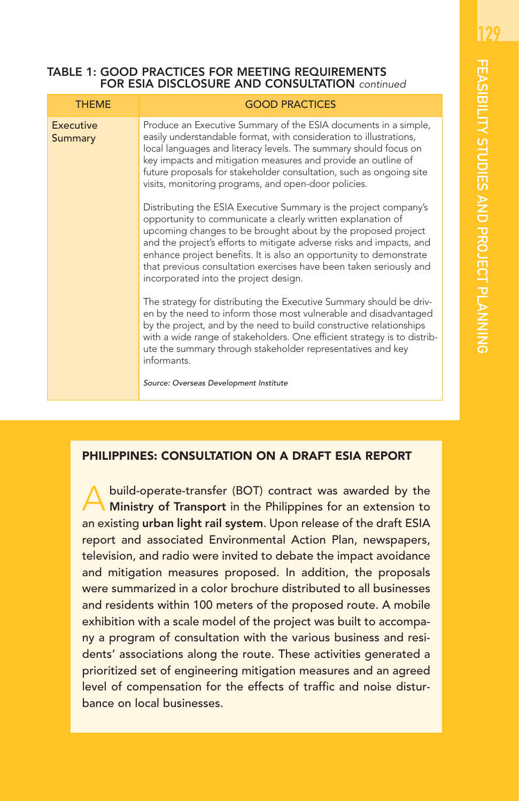#### TABLE 1: GOOD PRACTICES FOR MEETING REQUIREMENTS FOR ESIA DISCLOSURE AND CONSULTATION continued

| <b>THFMF</b><br><b>GOOD PRACTICES</b>                                                                                                                                                                                                                                                                                                                                                                                                                        |
|--------------------------------------------------------------------------------------------------------------------------------------------------------------------------------------------------------------------------------------------------------------------------------------------------------------------------------------------------------------------------------------------------------------------------------------------------------------|
| Produce an Executive Summary of the ESIA documents in a simple,<br>easily understandable format, with consideration to illustrations,<br>local languages and literacy levels. The summary should focus on<br>key impacts and mitigation measures and provide an outline of<br>future proposals for stakeholder consultation, such as ongoing site<br>visits, monitoring programs, and open-door policies.                                                    |
| Distributing the ESIA Executive Summary is the project company's<br>opportunity to communicate a clearly written explanation of<br>upcoming changes to be brought about by the proposed project<br>and the project's efforts to mitigate adverse risks and impacts, and<br>enhance project benefits. It is also an opportunity to demonstrate<br>that previous consultation exercises have been taken seriously and<br>incorporated into the project design. |
| The strategy for distributing the Executive Summary should be driv-<br>en by the need to inform those most vulnerable and disadvantaged<br>by the project, and by the need to build constructive relationships<br>with a wide range of stakeholders. One efficient strategy is to distrib-<br>ute the summary through stakeholder representatives and key<br>informants<br>Source: Overseas Development Institute                                            |
|                                                                                                                                                                                                                                                                                                                                                                                                                                                              |

# PHILIPPINES: CONSULTATION ON A DRAFT ESIA REPORT

Abuild-operate-transfer (BOT) contract was awarded by the Ministry of Transport in the Philippines for an extension to an existing urban light rail system. Upon release of the draft ESIA report and associated Environmental Action Plan, newspapers, television, and radio were invited to debate the impact avoidance and mitigation measures proposed. In addition, the proposals were summarized in a color brochure distributed to all businesses and residents within 100 meters of the proposed route. A mobile exhibition with a scale model of the project was built to accompany a program of consultation with the various business and residents' associations along the route. These activities generated a prioritized set of engineering mitigation measures and an agreed level of compensation for the effects of traffic and noise disturbance on local businesses.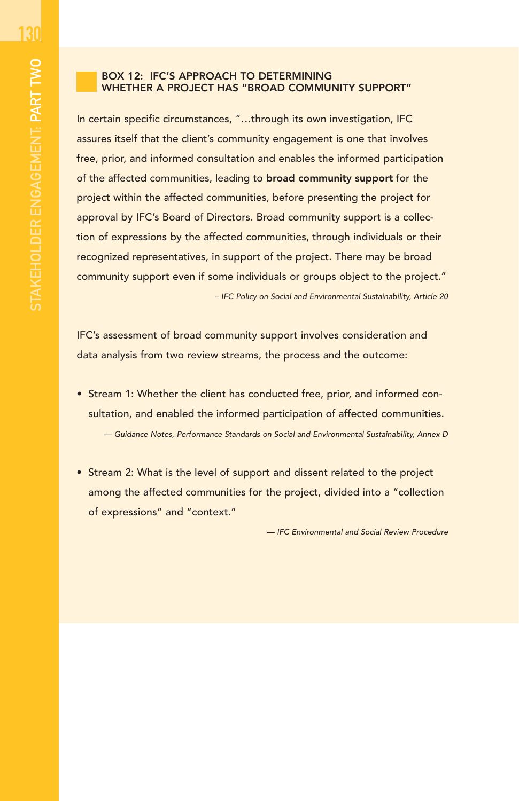#### BOX 12: IFC'S APPROACH TO DETERMINING WHETHER A PROJECT HAS "BROAD COMMUNITY SUPPORT"

In certain specific circumstances, "…through its own investigation, IFC assures itself that the client's community engagement is one that involves free, prior, and informed consultation and enables the informed participation of the affected communities, leading to broad community support for the project within the affected communities, before presenting the project for approval by IFC's Board of Directors. Broad community support is a collection of expressions by the affected communities, through individuals or their recognized representatives, in support of the project. There may be broad community support even if some individuals or groups object to the project." – IFC Policy on Social and Environmental Sustainability, Article 20

IFC's assessment of broad community support involves consideration and data analysis from two review streams, the process and the outcome:

- Stream 1: Whether the client has conducted free, prior, and informed consultation, and enabled the informed participation of affected communities. — Guidance Notes, Performance Standards on Social and Environmental Sustainability, Annex D
- Stream 2: What is the level of support and dissent related to the project among the affected communities for the project, divided into a "collection of expressions" and "context."

— IFC Environmental and Social Review Procedure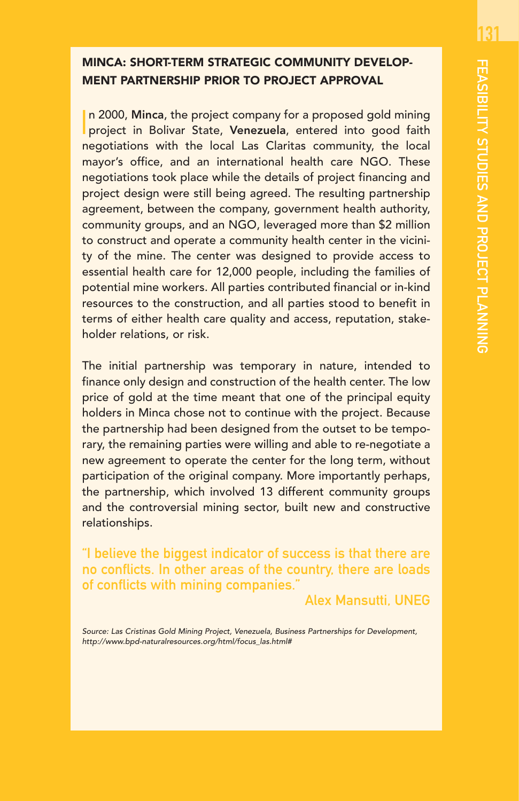# MINCA: SHORT-TERM STRATEGIC COMMUNITY DEVELOP-MENT PARTNERSHIP PRIOR TO PROJECT APPROVAL

n 2000, Minca, the project company for a proposed gold mining<br>project in Bolivar State, Venezuela, entered into good faith n 2000, Minca, the project company for a proposed gold mining negotiations with the local Las Claritas community, the local mayor's office, and an international health care NGO. These negotiations took place while the details of project financing and project design were still being agreed. The resulting partnership agreement, between the company, government health authority, community groups, and an NGO, leveraged more than \$2 million to construct and operate a community health center in the vicinity of the mine. The center was designed to provide access to essential health care for 12,000 people, including the families of potential mine workers. All parties contributed financial or in-kind resources to the construction, and all parties stood to benefit in terms of either health care quality and access, reputation, stakeholder relations, or risk.

The initial partnership was temporary in nature, intended to finance only design and construction of the health center. The low price of gold at the time meant that one of the principal equity holders in Minca chose not to continue with the project. Because the partnership had been designed from the outset to be temporary, the remaining parties were willing and able to re-negotiate a new agreement to operate the center for the long term, without participation of the original company. More importantly perhaps, the partnership, which involved 13 different community groups and the controversial mining sector, built new and constructive relationships.

"I believe the biggest indicator of success is that there are no conflicts. In other areas of the country, there are loads of conflicts with mining companies."

Alex Mansutti, UNEG

Source: Las Cristinas Gold Mining Project, Venezuela, Business Partnerships for Development, http://www.bpd-naturalresources.org/html/focus\_las.html#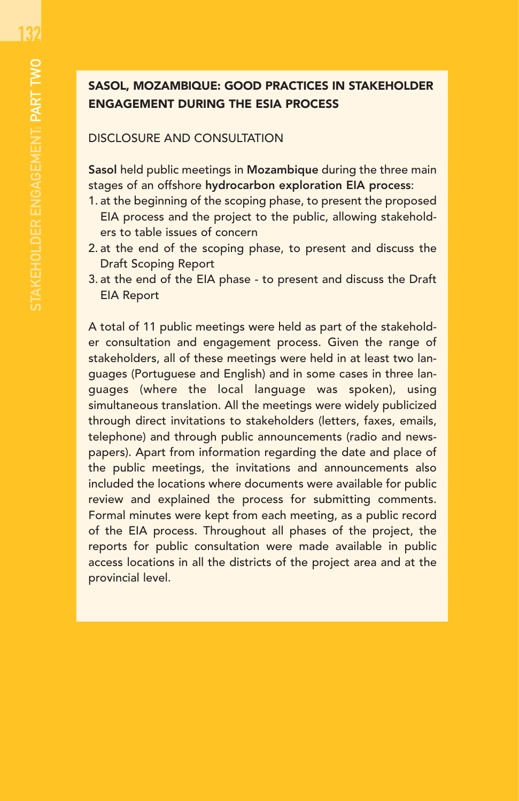# SASOL, MOZAMBIQUE: GOOD PRACTICES IN STAKEHOLDER ENGAGEMENT DURING THE ESIA PROCESS

## DISCLOSURE AND CONSULTATION

Sasol held public meetings in Mozambique during the three main stages of an offshore hydrocarbon exploration EIA process:

- 1. at the beginning of the scoping phase, to present the proposed EIA process and the project to the public, allowing stakeholders to table issues of concern
- 2. at the end of the scoping phase, to present and discuss the Draft Scoping Report
- 3. at the end of the EIA phase to present and discuss the Draft EIA Report

A total of 11 public meetings were held as part of the stakeholder consultation and engagement process. Given the range of stakeholders, all of these meetings were held in at least two languages (Portuguese and English) and in some cases in three languages (where the local language was spoken), using simultaneous translation. All the meetings were widely publicized through direct invitations to stakeholders (letters, faxes, emails, telephone) and through public announcements (radio and newspapers). Apart from information regarding the date and place of the public meetings, the invitations and announcements also included the locations where documents were available for public review and explained the process for submitting comments. Formal minutes were kept from each meeting, as a public record of the EIA process. Throughout all phases of the project, the reports for public consultation were made available in public access locations in all the districts of the project area and at the provincial level.